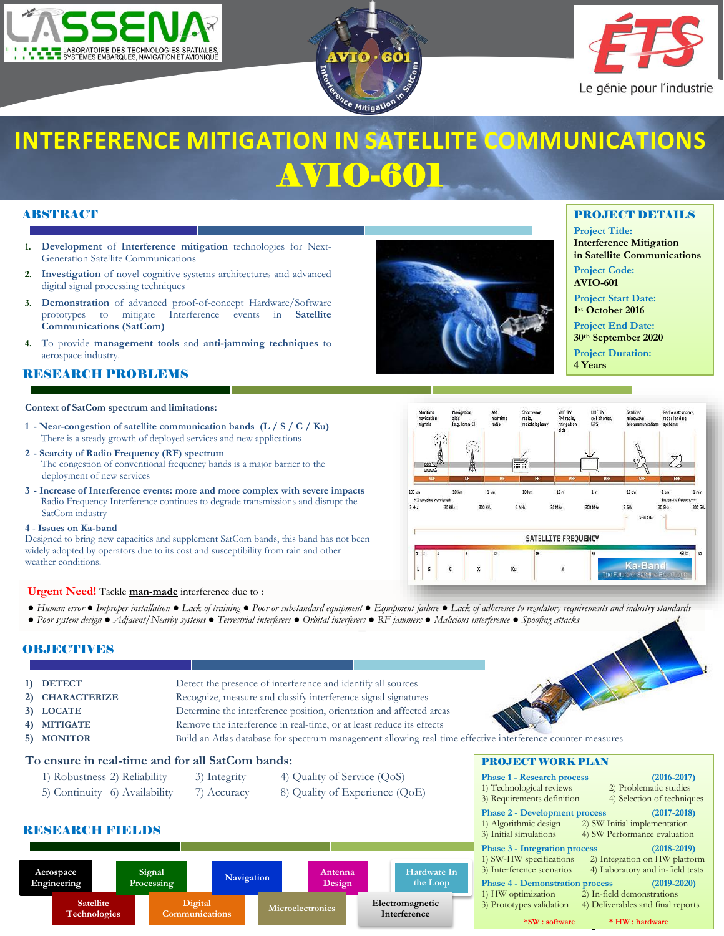





# **INTERFERENCE MITIGATION IN SATELLITE COMMUNICATIONS** AVIO-601

# ABSTRACT

k

- **1. Development** of **Interference mitigation** technologies for Next-Generation Satellite Communications
- **2. Investigation** of novel cognitive systems architectures and advanced digital signal processing techniques
- **3. Demonstration** of advanced proof-of-concept Hardware/Software prototypes to mitigate Interference events in **Satellite Communications (SatCom)**
- **4.** To provide **management tools** and **anti-jamming techniques** to aerospace industry.

## **RESEARCH PROBLEMS**

### **Context of SatCom spectrum and limitations:**

- **1 - Near-congestion of satellite communication bands (L / S / C / Ku)** There is a steady growth of deployed services and new applications
- **2 - Scarcity of Radio Frequency (RF) spectrum** The congestion of conventional frequency bands is a major barrier to the deployment of new services
- **3 - Increase of Interference events: more and more complex with severe impacts** Radio Frequency Interference continues to degrade transmissions and disrupt the SatCom industry

#### **4** - **Issues on Ka-band**

Designed to bring new capacities and supplement SatCom bands, this band has not been widely adopted by operators due to its cost and susceptibility from rain and other weather conditions.

#### **Urgent Need!** Tackle **man-made** interference due to :

- Human error Improper installation Lack of training Poor or substandard equipment Equipment failure Lack of adherence to regulatory requirements and industry standards
- *● Poor system design Adjacent/Nearby systems Terrestrial interferers Orbital interferers RF jammers Malicious interference Spoofing attacks*

## **OBJECTIVES**

- 2) **CHARACTERIZE** Recognize, measure and classify interference signal signatures
- 

**3) LOCATE** Determine the interference position, orientation and affected areas

Detect the presence of interference and identify all sources

- **4) MITIGATE** Remove the interference in real-time, or at least reduce its effects
- **5) MONITOR** Build an Atlas database for spectrum management allowing real-time effective interference counter-measures

## **To ensure in real-time and for all SatCom bands:**

- 1) Robustness 2) Reliability 3) Integrity 4) Quality of Service (QoS)
- 5) Continuity 6) Availability 7) Accuracy 8) Quality of Experience (QoE)

## RESEARCH FIELDS



# PROJECT DETAILS

**Project Title: Interference Mitigation in Satellite Communications**

**Project Code: AVIO-601**

**Project Start Date: 1 st October 2016**

**Project End Date: 30th September 2020**

**Project Duration: 4 Years**



| <b>PROJECT WORK PLAN</b>                                      |
|---------------------------------------------------------------|
| $(2016 - 2017)$<br><b>Phase 1 - Research process</b>          |
| 2) Problematic studies<br>1) Technological reviews            |
| 3) Requirements definition<br>4) Selection of techniques      |
| $(2017 - 2018)$<br><b>Phase 2 - Development process</b>       |
| 1) Algorithmic design<br>2) SW Initial implementation         |
| 3) Initial simulations<br>4) SW Performance evaluation        |
| <b>Phase 3 - Integration process</b><br>$(2018 - 2019)$       |
| 1) SW-HW specifications<br>2) Integration on HW platform      |
| 3) Interference scenarios<br>4) Laboratory and in-field tests |
| $(2019 - 2020)$<br><b>Phase 4 - Demonstration process</b>     |
| 1) HW optimization<br>2) In-field demonstrations              |
| 3) Prototypes validation<br>4) Deliverables and final reports |
| *SW : software<br>* HW : hardware                             |